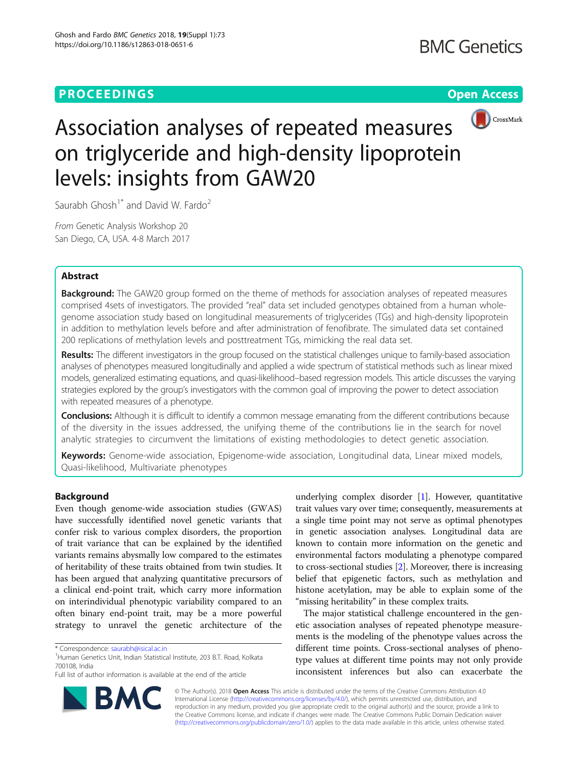## **PROCEEDINGS CONSUMING S** Open Access **CONSUMING S**



# Association analyses of repeated measures on triglyceride and high-density lipoprotein levels: insights from GAW20

Saurabh Ghosh<sup>1\*</sup> and David W. Fardo<sup>2</sup>

From Genetic Analysis Workshop 20 San Diego, CA, USA. 4-8 March 2017

## Abstract

**Background:** The GAW20 group formed on the theme of methods for association analyses of repeated measures comprised 4sets of investigators. The provided "real" data set included genotypes obtained from a human wholegenome association study based on longitudinal measurements of triglycerides (TGs) and high-density lipoprotein in addition to methylation levels before and after administration of fenofibrate. The simulated data set contained 200 replications of methylation levels and posttreatment TGs, mimicking the real data set.

Results: The different investigators in the group focused on the statistical challenges unique to family-based association analyses of phenotypes measured longitudinally and applied a wide spectrum of statistical methods such as linear mixed models, generalized estimating equations, and quasi-likelihood–based regression models. This article discusses the varying strategies explored by the group's investigators with the common goal of improving the power to detect association with repeated measures of a phenotype.

Conclusions: Although it is difficult to identify a common message emanating from the different contributions because of the diversity in the issues addressed, the unifying theme of the contributions lie in the search for novel analytic strategies to circumvent the limitations of existing methodologies to detect genetic association.

Keywords: Genome-wide association, Epigenome-wide association, Longitudinal data, Linear mixed models, Quasi-likelihood, Multivariate phenotypes

## **Background**

Even though genome-wide association studies (GWAS) have successfully identified novel genetic variants that confer risk to various complex disorders, the proportion of trait variance that can be explained by the identified variants remains abysmally low compared to the estimates of heritability of these traits obtained from twin studies. It has been argued that analyzing quantitative precursors of a clinical end-point trait, which carry more information on interindividual phenotypic variability compared to an often binary end-point trait, may be a more powerful strategy to unravel the genetic architecture of the

underlying complex disorder [\[1](#page-4-0)]. However, quantitative trait values vary over time; consequently, measurements at a single time point may not serve as optimal phenotypes in genetic association analyses. Longitudinal data are known to contain more information on the genetic and environmental factors modulating a phenotype compared to cross-sectional studies [\[2](#page-4-0)]. Moreover, there is increasing belief that epigenetic factors, such as methylation and histone acetylation, may be able to explain some of the "missing heritability" in these complex traits.

The major statistical challenge encountered in the genetic association analyses of repeated phenotype measurements is the modeling of the phenotype values across the different time points. Cross-sectional analyses of phenotype values at different time points may not only provide inconsistent inferences but also can exacerbate the



© The Author(s). 2018 Open Access This article is distributed under the terms of the Creative Commons Attribution 4.0 International License [\(http://creativecommons.org/licenses/by/4.0/](http://creativecommons.org/licenses/by/4.0/)), which permits unrestricted use, distribution, and reproduction in any medium, provided you give appropriate credit to the original author(s) and the source, provide a link to the Creative Commons license, and indicate if changes were made. The Creative Commons Public Domain Dedication waiver [\(http://creativecommons.org/publicdomain/zero/1.0/](http://creativecommons.org/publicdomain/zero/1.0/)) applies to the data made available in this article, unless otherwise stated.

<sup>\*</sup> Correspondence: [saurabh@isical.ac.in](mailto:saurabh@isical.ac.in) <sup>1</sup>

<sup>&</sup>lt;sup>1</sup>Human Genetics Unit, Indian Statistical Institute, 203 B.T. Road, Kolkata 700108, India

Full list of author information is available at the end of the article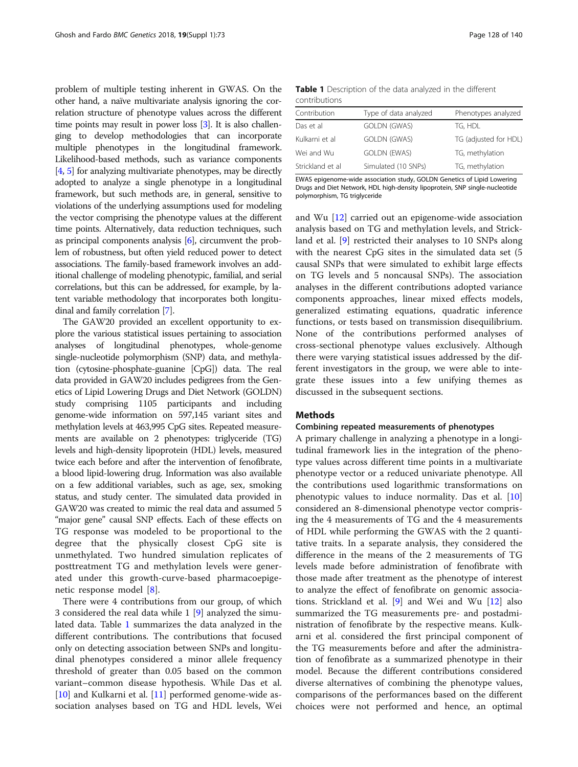problem of multiple testing inherent in GWAS. On the other hand, a naïve multivariate analysis ignoring the correlation structure of phenotype values across the different time points may result in power loss [\[3\]](#page-4-0). It is also challenging to develop methodologies that can incorporate multiple phenotypes in the longitudinal framework. Likelihood-based methods, such as variance components [[4](#page-4-0), [5\]](#page-4-0) for analyzing multivariate phenotypes, may be directly adopted to analyze a single phenotype in a longitudinal framework, but such methods are, in general, sensitive to violations of the underlying assumptions used for modeling the vector comprising the phenotype values at the different time points. Alternatively, data reduction techniques, such as principal components analysis [\[6\]](#page-4-0), circumvent the problem of robustness, but often yield reduced power to detect associations. The family-based framework involves an additional challenge of modeling phenotypic, familial, and serial correlations, but this can be addressed, for example, by latent variable methodology that incorporates both longitudinal and family correlation [\[7\]](#page-4-0).

The GAW20 provided an excellent opportunity to explore the various statistical issues pertaining to association analyses of longitudinal phenotypes, whole-genome single-nucleotide polymorphism (SNP) data, and methylation (cytosine-phosphate-guanine [CpG]) data. The real data provided in GAW20 includes pedigrees from the Genetics of Lipid Lowering Drugs and Diet Network (GOLDN) study comprising 1105 participants and including genome-wide information on 597,145 variant sites and methylation levels at 463,995 CpG sites. Repeated measurements are available on 2 phenotypes: triglyceride (TG) levels and high-density lipoprotein (HDL) levels, measured twice each before and after the intervention of fenofibrate, a blood lipid-lowering drug. Information was also available on a few additional variables, such as age, sex, smoking status, and study center. The simulated data provided in GAW20 was created to mimic the real data and assumed 5 "major gene" causal SNP effects. Each of these effects on TG response was modeled to be proportional to the degree that the physically closest CpG site is unmethylated. Two hundred simulation replicates of posttreatment TG and methylation levels were generated under this growth-curve-based pharmacoepigenetic response model [[8\]](#page-4-0).

There were 4 contributions from our group, of which 3 considered the real data while 1 [[9\]](#page-4-0) analyzed the simulated data. Table 1 summarizes the data analyzed in the different contributions. The contributions that focused only on detecting association between SNPs and longitudinal phenotypes considered a minor allele frequency threshold of greater than 0.05 based on the common variant–common disease hypothesis. While Das et al. [[10\]](#page-4-0) and Kulkarni et al. [[11](#page-4-0)] performed genome-wide association analyses based on TG and HDL levels, Wei

|               | <b>Table 1</b> Description of the data analyzed in the different |  |  |  |
|---------------|------------------------------------------------------------------|--|--|--|
| contributions |                                                                  |  |  |  |

| Contribution     | Type of data analyzed | Phenotypes analyzed   |
|------------------|-----------------------|-----------------------|
| Das et al        | <b>GOLDN (GWAS)</b>   | TG, HDL               |
| Kulkarni et al   | <b>GOLDN (GWAS)</b>   | TG (adjusted for HDL) |
| Wei and Wu       | <b>GOLDN (EWAS)</b>   | TG, methylation       |
| Strickland et al | Simulated (10 SNPs)   | TG, methylation       |
|                  |                       |                       |

EWAS epigenome-wide association study, GOLDN Genetics of Lipid Lowering Drugs and Diet Network, HDL high-density lipoprotein, SNP single-nucleotide polymorphism, TG triglyceride

and Wu [[12\]](#page-4-0) carried out an epigenome-wide association analysis based on TG and methylation levels, and Strickland et al. [[9\]](#page-4-0) restricted their analyses to 10 SNPs along with the nearest CpG sites in the simulated data set (5 causal SNPs that were simulated to exhibit large effects on TG levels and 5 noncausal SNPs). The association analyses in the different contributions adopted variance components approaches, linear mixed effects models, generalized estimating equations, quadratic inference functions, or tests based on transmission disequilibrium. None of the contributions performed analyses of cross-sectional phenotype values exclusively. Although there were varying statistical issues addressed by the different investigators in the group, we were able to integrate these issues into a few unifying themes as discussed in the subsequent sections.

## **Methods**

#### Combining repeated measurements of phenotypes

A primary challenge in analyzing a phenotype in a longitudinal framework lies in the integration of the phenotype values across different time points in a multivariate phenotype vector or a reduced univariate phenotype. All the contributions used logarithmic transformations on phenotypic values to induce normality. Das et al. [[10](#page-4-0)] considered an 8-dimensional phenotype vector comprising the 4 measurements of TG and the 4 measurements of HDL while performing the GWAS with the 2 quantitative traits. In a separate analysis, they considered the difference in the means of the 2 measurements of TG levels made before administration of fenofibrate with those made after treatment as the phenotype of interest to analyze the effect of fenofibrate on genomic associations. Strickland et al. [\[9](#page-4-0)] and Wei and Wu [[12\]](#page-4-0) also summarized the TG measurements pre- and postadministration of fenofibrate by the respective means. Kulkarni et al. considered the first principal component of the TG measurements before and after the administration of fenofibrate as a summarized phenotype in their model. Because the different contributions considered diverse alternatives of combining the phenotype values, comparisons of the performances based on the different choices were not performed and hence, an optimal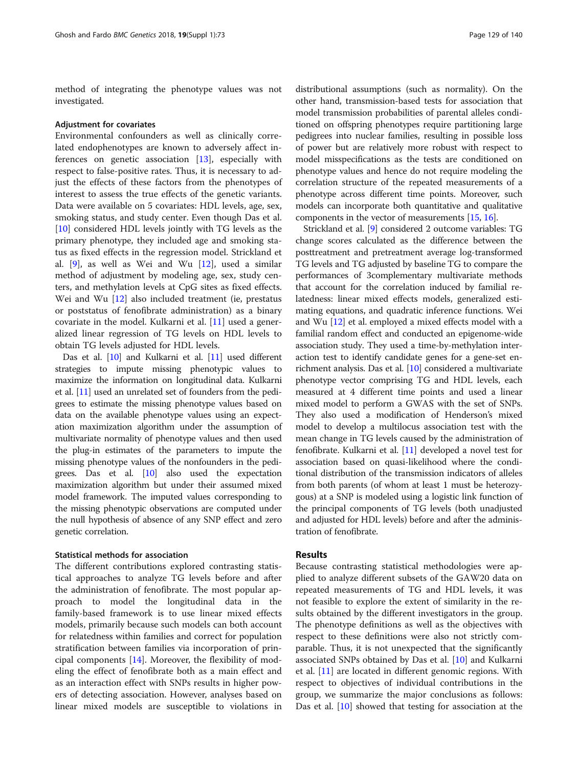method of integrating the phenotype values was not investigated.

#### Adjustment for covariates

Environmental confounders as well as clinically correlated endophenotypes are known to adversely affect inferences on genetic association [\[13\]](#page-4-0), especially with respect to false-positive rates. Thus, it is necessary to adjust the effects of these factors from the phenotypes of interest to assess the true effects of the genetic variants. Data were available on 5 covariates: HDL levels, age, sex, smoking status, and study center. Even though Das et al. [[10\]](#page-4-0) considered HDL levels jointly with TG levels as the primary phenotype, they included age and smoking status as fixed effects in the regression model. Strickland et al. [[9\]](#page-4-0), as well as Wei and Wu [[12](#page-4-0)], used a similar method of adjustment by modeling age, sex, study centers, and methylation levels at CpG sites as fixed effects. Wei and Wu [\[12](#page-4-0)] also included treatment (ie, prestatus or poststatus of fenofibrate administration) as a binary covariate in the model. Kulkarni et al. [\[11\]](#page-4-0) used a generalized linear regression of TG levels on HDL levels to obtain TG levels adjusted for HDL levels.

Das et al. [\[10](#page-4-0)] and Kulkarni et al. [\[11](#page-4-0)] used different strategies to impute missing phenotypic values to maximize the information on longitudinal data. Kulkarni et al. [\[11](#page-4-0)] used an unrelated set of founders from the pedigrees to estimate the missing phenotype values based on data on the available phenotype values using an expectation maximization algorithm under the assumption of multivariate normality of phenotype values and then used the plug-in estimates of the parameters to impute the missing phenotype values of the nonfounders in the pedigrees. Das et al. [[10](#page-4-0)] also used the expectation maximization algorithm but under their assumed mixed model framework. The imputed values corresponding to the missing phenotypic observations are computed under the null hypothesis of absence of any SNP effect and zero genetic correlation.

## Statistical methods for association

The different contributions explored contrasting statistical approaches to analyze TG levels before and after the administration of fenofibrate. The most popular approach to model the longitudinal data in the family-based framework is to use linear mixed effects models, primarily because such models can both account for relatedness within families and correct for population stratification between families via incorporation of principal components [\[14](#page-4-0)]. Moreover, the flexibility of modeling the effect of fenofibrate both as a main effect and as an interaction effect with SNPs results in higher powers of detecting association. However, analyses based on linear mixed models are susceptible to violations in

distributional assumptions (such as normality). On the other hand, transmission-based tests for association that model transmission probabilities of parental alleles conditioned on offspring phenotypes require partitioning large pedigrees into nuclear families, resulting in possible loss of power but are relatively more robust with respect to model misspecifications as the tests are conditioned on phenotype values and hence do not require modeling the correlation structure of the repeated measurements of a phenotype across different time points. Moreover, such models can incorporate both quantitative and qualitative components in the vector of measurements [\[15](#page-4-0), [16](#page-4-0)].

Strickland et al. [[9](#page-4-0)] considered 2 outcome variables: TG change scores calculated as the difference between the posttreatment and pretreatment average log-transformed TG levels and TG adjusted by baseline TG to compare the performances of 3complementary multivariate methods that account for the correlation induced by familial relatedness: linear mixed effects models, generalized estimating equations, and quadratic inference functions. Wei and Wu [\[12](#page-4-0)] et al. employed a mixed effects model with a familial random effect and conducted an epigenome-wide association study. They used a time-by-methylation interaction test to identify candidate genes for a gene-set enrichment analysis. Das et al. [\[10\]](#page-4-0) considered a multivariate phenotype vector comprising TG and HDL levels, each measured at 4 different time points and used a linear mixed model to perform a GWAS with the set of SNPs. They also used a modification of Henderson's mixed model to develop a multilocus association test with the mean change in TG levels caused by the administration of fenofibrate. Kulkarni et al. [\[11\]](#page-4-0) developed a novel test for association based on quasi-likelihood where the conditional distribution of the transmission indicators of alleles from both parents (of whom at least 1 must be heterozygous) at a SNP is modeled using a logistic link function of the principal components of TG levels (both unadjusted and adjusted for HDL levels) before and after the administration of fenofibrate.

## Results

Because contrasting statistical methodologies were applied to analyze different subsets of the GAW20 data on repeated measurements of TG and HDL levels, it was not feasible to explore the extent of similarity in the results obtained by the different investigators in the group. The phenotype definitions as well as the objectives with respect to these definitions were also not strictly comparable. Thus, it is not unexpected that the significantly associated SNPs obtained by Das et al. [\[10\]](#page-4-0) and Kulkarni et al. [\[11\]](#page-4-0) are located in different genomic regions. With respect to objectives of individual contributions in the group, we summarize the major conclusions as follows: Das et al. [\[10](#page-4-0)] showed that testing for association at the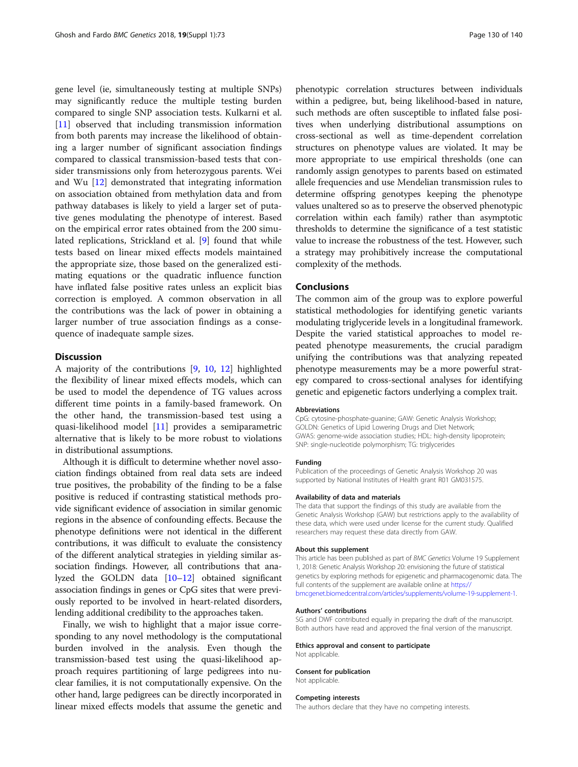gene level (ie, simultaneously testing at multiple SNPs) may significantly reduce the multiple testing burden compared to single SNP association tests. Kulkarni et al. [[11\]](#page-4-0) observed that including transmission information from both parents may increase the likelihood of obtaining a larger number of significant association findings compared to classical transmission-based tests that consider transmissions only from heterozygous parents. Wei and Wu [[12](#page-4-0)] demonstrated that integrating information on association obtained from methylation data and from pathway databases is likely to yield a larger set of putative genes modulating the phenotype of interest. Based on the empirical error rates obtained from the 200 simulated replications, Strickland et al. [\[9](#page-4-0)] found that while tests based on linear mixed effects models maintained the appropriate size, those based on the generalized estimating equations or the quadratic influence function have inflated false positive rates unless an explicit bias correction is employed. A common observation in all the contributions was the lack of power in obtaining a larger number of true association findings as a consequence of inadequate sample sizes.

## **Discussion**

A majority of the contributions [\[9](#page-4-0), [10,](#page-4-0) [12](#page-4-0)] highlighted the flexibility of linear mixed effects models, which can be used to model the dependence of TG values across different time points in a family-based framework. On the other hand, the transmission-based test using a quasi-likelihood model [[11](#page-4-0)] provides a semiparametric alternative that is likely to be more robust to violations in distributional assumptions.

Although it is difficult to determine whether novel association findings obtained from real data sets are indeed true positives, the probability of the finding to be a false positive is reduced if contrasting statistical methods provide significant evidence of association in similar genomic regions in the absence of confounding effects. Because the phenotype definitions were not identical in the different contributions, it was difficult to evaluate the consistency of the different analytical strategies in yielding similar association findings. However, all contributions that analyzed the GOLDN data [[10](#page-4-0)–[12\]](#page-4-0) obtained significant association findings in genes or CpG sites that were previously reported to be involved in heart-related disorders, lending additional credibility to the approaches taken.

Finally, we wish to highlight that a major issue corresponding to any novel methodology is the computational burden involved in the analysis. Even though the transmission-based test using the quasi-likelihood approach requires partitioning of large pedigrees into nuclear families, it is not computationally expensive. On the other hand, large pedigrees can be directly incorporated in linear mixed effects models that assume the genetic and

phenotypic correlation structures between individuals within a pedigree, but, being likelihood-based in nature, such methods are often susceptible to inflated false positives when underlying distributional assumptions on cross-sectional as well as time-dependent correlation structures on phenotype values are violated. It may be more appropriate to use empirical thresholds (one can randomly assign genotypes to parents based on estimated allele frequencies and use Mendelian transmission rules to determine offspring genotypes keeping the phenotype values unaltered so as to preserve the observed phenotypic correlation within each family) rather than asymptotic thresholds to determine the significance of a test statistic value to increase the robustness of the test. However, such a strategy may prohibitively increase the computational complexity of the methods.

## Conclusions

The common aim of the group was to explore powerful statistical methodologies for identifying genetic variants modulating triglyceride levels in a longitudinal framework. Despite the varied statistical approaches to model repeated phenotype measurements, the crucial paradigm unifying the contributions was that analyzing repeated phenotype measurements may be a more powerful strategy compared to cross-sectional analyses for identifying genetic and epigenetic factors underlying a complex trait.

#### Abbreviations

CpG: cytosine-phosphate-guanine; GAW: Genetic Analysis Workshop; GOLDN: Genetics of Lipid Lowering Drugs and Diet Network; GWAS: genome-wide association studies; HDL: high-density lipoprotein; SNP: single-nucleotide polymorphism; TG: triglycerides

#### Funding

Publication of the proceedings of Genetic Analysis Workshop 20 was supported by National Institutes of Health grant R01 GM031575.

#### Availability of data and materials

The data that support the findings of this study are available from the Genetic Analysis Workshop (GAW) but restrictions apply to the availability of these data, which were used under license for the current study. Qualified researchers may request these data directly from GAW.

#### About this supplement

This article has been published as part of BMC Genetics Volume 19 Supplement 1, 2018: Genetic Analysis Workshop 20: envisioning the future of statistical genetics by exploring methods for epigenetic and pharmacogenomic data. The full contents of the supplement are available online at [https://](https://bmcgenet.biomedcentral.com/articles/supplements/volume-19-supplement-1) [bmcgenet.biomedcentral.com/articles/supplements/volume-19-supplement-1.](https://bmcgenet.biomedcentral.com/articles/supplements/volume-19-supplement-1)

#### Authors' contributions

SG and DWF contributed equally in preparing the draft of the manuscript. Both authors have read and approved the final version of the manuscript.

#### Ethics approval and consent to participate

Not applicable.

## Consent for publication

Not applicable.

#### Competing interests

The authors declare that they have no competing interests.